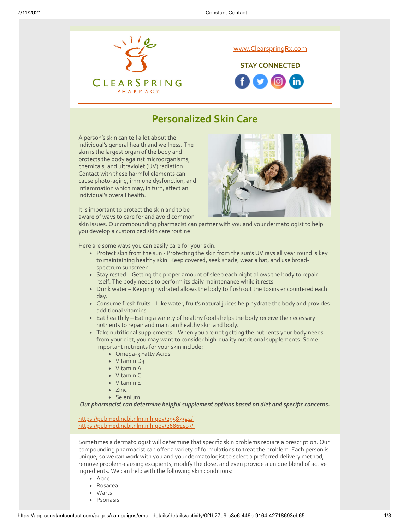

## **Personalized Skin Care**

A person's skin can tell a lot about the individual's general health and wellness. The skin is the largest organ of the body and protects the body against microorganisms, chemicals, and ultraviolet (UV) radiation. Contact with these harmful elements can cause photo-aging, immune dysfunction, and inflammation which may, in turn, affect an individual's overall health.

It is important to protect the skin and to be aware of ways to care for and avoid common

skin issues. Our compounding pharmacist can partner with you and your dermatologist to help you develop a customized skin care routine.

Here are some ways you can easily care for your skin.

- Protect skin from the sun Protecting the skin from the sun's UV rays all year round is key to maintaining healthy skin. Keep covered, seek shade, wear a hat, and use broadspectrum sunscreen.
- Stay rested Getting the proper amount of sleep each night allows the body to repair itself. The body needs to perform its daily maintenance while it rests.
- Drink water Keeping hydrated allows the body to flush out the toxins encountered each day.
- Consume fresh fruits Like water, fruit's natural juices help hydrate the body and provides additional vitamins.
- Eat healthily Eating a variety of healthy foods helps the body receive the necessary nutrients to repair and maintain healthy skin and body.
- Take nutritional supplements When you are not getting the nutrients your body needs from your diet, you may want to consider high-quality nutritional supplements. Some important nutrients for your skin include:
	- Omega-3 Fatty Acids
	- Vitamin D<sub>3</sub>
	- Vitamin A
	- Vitamin C
	- Vitamin E
	- $\cdot$  7inc
	- Selenium

*Our pharmacist can determine helpful supplement options based on diet and specific concerns.*

<https://pubmed.ncbi.nlm.nih.gov/29587342/> <https://pubmed.ncbi.nlm.nih.gov/26861407/>

Sometimes a dermatologist will determine that specific skin problems require a prescription. Our compounding pharmacist can offer a variety of formulations to treat the problem. Each person is unique, so we can work with you and your dermatologist to select a preferred delivery method, remove problem-causing excipients, modify the dose, and even provide a unique blend of active ingredients. We can help with the following skin conditions:

- Acne
- Rosacea
- Warts
- Psoriasis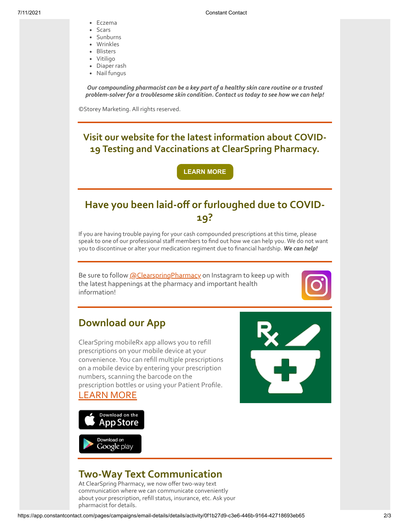- Eczema
- Scars
- Sunburns
- Wrinkles
- Blisters
- Vitiligo
- Diaper rash • Nail fungus

*Our compounding pharmacist can be a key part of a healthy skin care routine or a trusted problem-solver for a troublesome skin condition. Contact us today to see how we can help!*

©Storey Marketing. All rights reserved.

**Visit our website for the latest information about COVID-19 Testing and Vaccinations at ClearSpring Pharmacy.**

**[LEARN MORE](https://clearspringrx.com/covid-19.php)**

## **Have you been laid-off or furloughed due to COVID-19?**

If you are having trouble paying for your cash compounded prescriptions at this time, please speak to one of our professional staff members to find out how we can help you. We do not want you to discontinue or alter your medication regiment due to financial hardship. *We can help!*

Be sure to follow [@ClearspringPharmacy](https://www.instagram.com/clearspringpharmacy/) on Instagram to keep up with the latest happenings at the pharmacy and important health information!



## **Download our App**

ClearSpring mobileRx app allows you to refill prescriptions on your mobile device at your convenience. You can refill multiple prescriptions on a mobile device by entering your prescription numbers, scanning the barcode on the prescription bottles or using your Patient Profile. [LEARN MORE](https://clearspringrx.com/app.php)





## **Two-Way Text Communication**

At ClearSpring Pharmacy, we now offer two-way text communication where we can communicate conveniently about your prescription, refill status, insurance, etc. Ask your pharmacist for details.